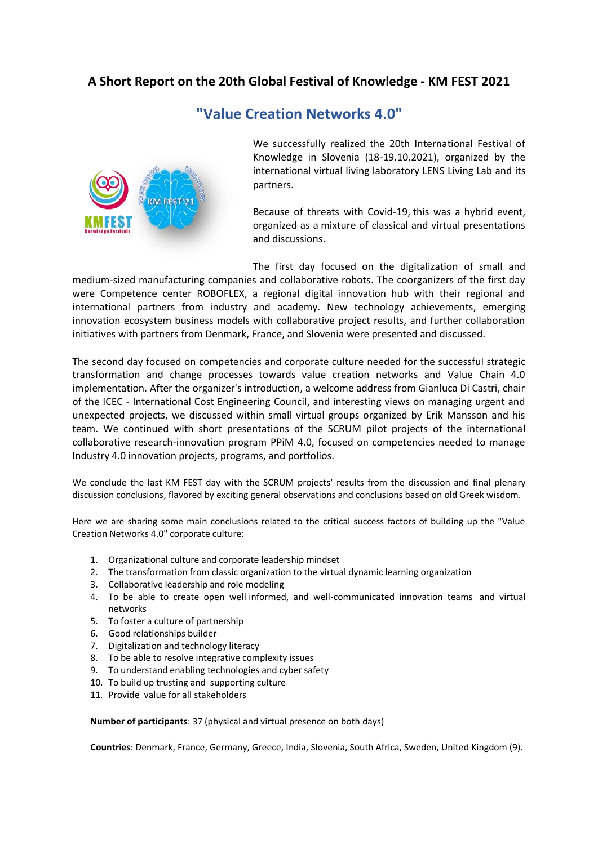## **A Short Report on the 20th Global Festival of Knowledge - KM FEST 2021**

## **"Value Creation Networks 4.0"**



We successfully realized the 20th International Festival of Knowledge in Slovenia (18-19.10.2021), organized by the international virtual living laboratory LENS Living Lab and its partners.

Because of threats with Covid-19, this was a hybrid event, organized as a mixture of classical and virtual presentations and discussions.

The first day focused on the digitalization of small and medium-sized manufacturing companies and collaborative robots. The coorganizers of the first day were Competence center ROBOFLEX, a regional digital innovation hub with their regional and international partners from industry and academy. New technology achievements, emerging innovation ecosystem business models with collaborative project results, and further collaboration initiatives with partners from Denmark, France, and Slovenia were presented and discussed.

The second day focused on competencies and corporate culture needed for the successful strategic transformation and change processes towards value creation networks and Value Chain 4.0 implementation. After the organizer's introduction, a welcome address from Gianluca Di Castri, chair of the ICEC - International Cost Engineering Council, and interesting views on managing urgent and unexpected projects, we discussed within small virtual groups organized by Erik Mansson and his team. We continued with short presentations of the SCRUM pilot projects of the international collaborative research-innovation program PPiM 4.0, focused on competencies needed to manage Industry 4.0 innovation projects, programs, and portfolios.

We conclude the last KM FEST day with the SCRUM projects' results from the discussion and final plenary discussion conclusions, flavored by exciting general observations and conclusions based on old Greek wisdom.

Here we are sharing some main conclusions related to the critical success factors of building up the "Value Creation Networks 4.0" corporate culture:

- 1. Organizational culture and corporate leadership mindset
- 2. The transformation from classic organization to the virtual dynamic learning organization
- 3. Collaborative leadership and role modeling
- 4. To be able to create open well informed, and well-communicated innovation teams and virtual networks
- 5. To foster a culture of partnership
- 6. Good relationships builder
- 7. Digitalization and technology literacy
- 8. To be able to resolve integrative complexity issues
- 9. To understand enabling technologies and cyber safety
- 10. To build up trusting and supporting culture
- 11. Provide value for all stakeholders

**Number of participants**: 37 (physical and virtual presence on both days)

**Countries**: Denmark, France, Germany, Greece, India, Slovenia, South Africa, Sweden, United Kingdom (9).